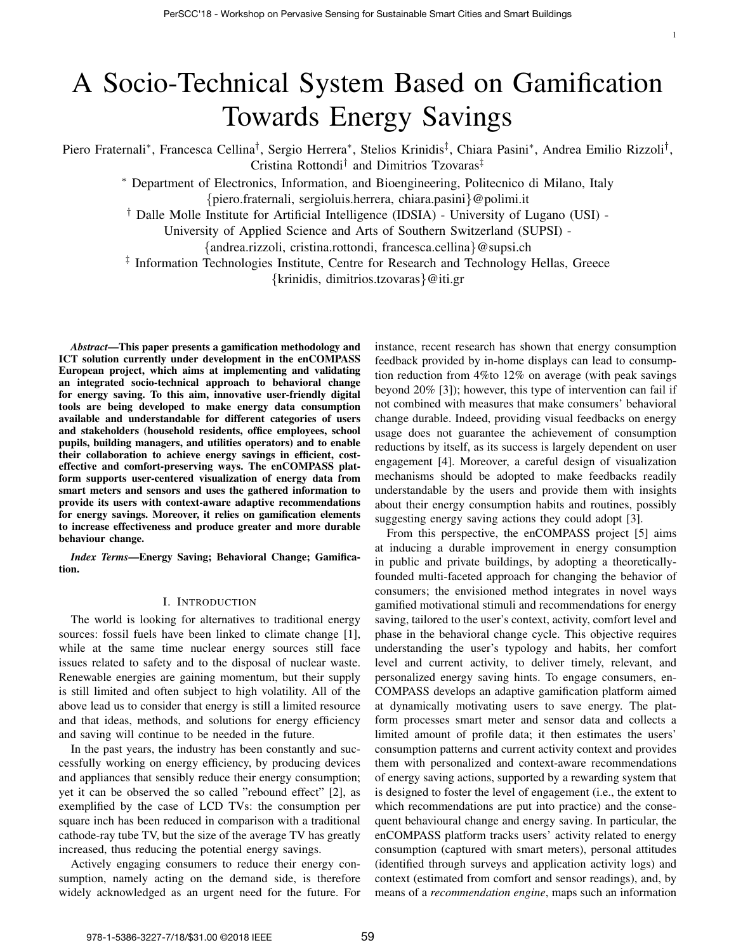# A Socio-Technical System Based on Gamification Towards Energy Savings

Piero Fraternali\*, Francesca Cellina<sup>†</sup>, Sergio Herrera\*, Stelios Krinidis<sup>‡</sup>, Chiara Pasini\*, Andrea Emilio Rizzoli<sup>†</sup>, Cristina Rottondi† and Dimitrios Tzovaras‡

<sup>∗</sup> Department of Electronics, Information, and Bioengineering, Politecnico di Milano, Italy {piero.fraternali, sergioluis.herrera, chiara.pasini}@polimi.it

† Dalle Molle Institute for Artificial Intelligence (IDSIA) - University of Lugano (USI) -

University of Applied Science and Arts of Southern Switzerland (SUPSI) -

{andrea.rizzoli, cristina.rottondi, francesca.cellina}@supsi.ch

‡ Information Technologies Institute, Centre for Research and Technology Hellas, Greece

{krinidis, dimitrios.tzovaras}@iti.gr

*Abstract*—This paper presents a gamification methodology and ICT solution currently under development in the enCOMPASS European project, which aims at implementing and validating an integrated socio-technical approach to behavioral change for energy saving. To this aim, innovative user-friendly digital tools are being developed to make energy data consumption available and understandable for different categories of users and stakeholders (household residents, office employees, school pupils, building managers, and utilities operators) and to enable their collaboration to achieve energy savings in efficient, costeffective and comfort-preserving ways. The enCOMPASS platform supports user-centered visualization of energy data from smart meters and sensors and uses the gathered information to provide its users with context-aware adaptive recommendations for energy savings. Moreover, it relies on gamification elements to increase effectiveness and produce greater and more durable behaviour change.

*Index Terms*—Energy Saving; Behavioral Change; Gamification.

## I. INTRODUCTION

The world is looking for alternatives to traditional energy sources: fossil fuels have been linked to climate change [1], while at the same time nuclear energy sources still face issues related to safety and to the disposal of nuclear waste. Renewable energies are gaining momentum, but their supply is still limited and often subject to high volatility. All of the above lead us to consider that energy is still a limited resource and that ideas, methods, and solutions for energy efficiency and saving will continue to be needed in the future.

In the past years, the industry has been constantly and successfully working on energy efficiency, by producing devices and appliances that sensibly reduce their energy consumption; yet it can be observed the so called "rebound effect" [2], as exemplified by the case of LCD TVs: the consumption per square inch has been reduced in comparison with a traditional cathode-ray tube TV, but the size of the average TV has greatly increased, thus reducing the potential energy savings.

Actively engaging consumers to reduce their energy consumption, namely acting on the demand side, is therefore widely acknowledged as an urgent need for the future. For instance, recent research has shown that energy consumption feedback provided by in-home displays can lead to consumption reduction from 4%to 12% on average (with peak savings beyond 20% [3]); however, this type of intervention can fail if not combined with measures that make consumers' behavioral change durable. Indeed, providing visual feedbacks on energy usage does not guarantee the achievement of consumption reductions by itself, as its success is largely dependent on user engagement [4]. Moreover, a careful design of visualization mechanisms should be adopted to make feedbacks readily understandable by the users and provide them with insights about their energy consumption habits and routines, possibly suggesting energy saving actions they could adopt [3].

1

From this perspective, the enCOMPASS project [5] aims at inducing a durable improvement in energy consumption in public and private buildings, by adopting a theoreticallyfounded multi-faceted approach for changing the behavior of consumers; the envisioned method integrates in novel ways gamified motivational stimuli and recommendations for energy saving, tailored to the user's context, activity, comfort level and phase in the behavioral change cycle. This objective requires understanding the user's typology and habits, her comfort level and current activity, to deliver timely, relevant, and personalized energy saving hints. To engage consumers, en-COMPASS develops an adaptive gamification platform aimed at dynamically motivating users to save energy. The platform processes smart meter and sensor data and collects a limited amount of profile data; it then estimates the users' consumption patterns and current activity context and provides them with personalized and context-aware recommendations of energy saving actions, supported by a rewarding system that is designed to foster the level of engagement (i.e., the extent to which recommendations are put into practice) and the consequent behavioural change and energy saving. In particular, the enCOMPASS platform tracks users' activity related to energy consumption (captured with smart meters), personal attitudes (identified through surveys and application activity logs) and context (estimated from comfort and sensor readings), and, by means of a *recommendation engine*, maps such an information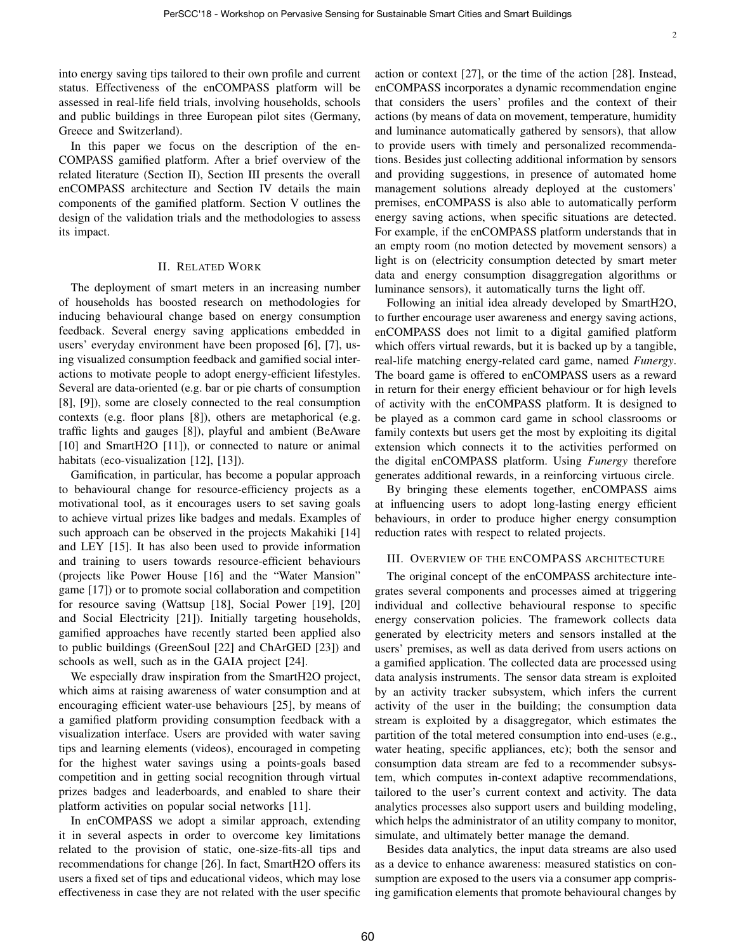into energy saving tips tailored to their own profile and current status. Effectiveness of the enCOMPASS platform will be assessed in real-life field trials, involving households, schools and public buildings in three European pilot sites (Germany, Greece and Switzerland).

In this paper we focus on the description of the en-COMPASS gamified platform. After a brief overview of the related literature (Section II), Section III presents the overall enCOMPASS architecture and Section IV details the main components of the gamified platform. Section V outlines the design of the validation trials and the methodologies to assess its impact.

## II. RELATED WORK

The deployment of smart meters in an increasing number of households has boosted research on methodologies for inducing behavioural change based on energy consumption feedback. Several energy saving applications embedded in users' everyday environment have been proposed [6], [7], using visualized consumption feedback and gamified social interactions to motivate people to adopt energy-efficient lifestyles. Several are data-oriented (e.g. bar or pie charts of consumption [8], [9]), some are closely connected to the real consumption contexts (e.g. floor plans [8]), others are metaphorical (e.g. traffic lights and gauges [8]), playful and ambient (BeAware [10] and SmartH2O [11]), or connected to nature or animal habitats (eco-visualization [12], [13]).

Gamification, in particular, has become a popular approach to behavioural change for resource-efficiency projects as a motivational tool, as it encourages users to set saving goals to achieve virtual prizes like badges and medals. Examples of such approach can be observed in the projects Makahiki [14] and LEY [15]. It has also been used to provide information and training to users towards resource-efficient behaviours (projects like Power House [16] and the "Water Mansion" game [17]) or to promote social collaboration and competition for resource saving (Wattsup [18], Social Power [19], [20] and Social Electricity [21]). Initially targeting households, gamified approaches have recently started been applied also to public buildings (GreenSoul [22] and ChArGED [23]) and schools as well, such as in the GAIA project [24].

We especially draw inspiration from the SmartH2O project, which aims at raising awareness of water consumption and at encouraging efficient water-use behaviours [25], by means of a gamified platform providing consumption feedback with a visualization interface. Users are provided with water saving tips and learning elements (videos), encouraged in competing for the highest water savings using a points-goals based competition and in getting social recognition through virtual prizes badges and leaderboards, and enabled to share their platform activities on popular social networks [11].

In enCOMPASS we adopt a similar approach, extending it in several aspects in order to overcome key limitations related to the provision of static, one-size-fits-all tips and recommendations for change [26]. In fact, SmartH2O offers its users a fixed set of tips and educational videos, which may lose effectiveness in case they are not related with the user specific action or context [27], or the time of the action [28]. Instead, enCOMPASS incorporates a dynamic recommendation engine that considers the users' profiles and the context of their actions (by means of data on movement, temperature, humidity and luminance automatically gathered by sensors), that allow to provide users with timely and personalized recommendations. Besides just collecting additional information by sensors and providing suggestions, in presence of automated home management solutions already deployed at the customers' premises, enCOMPASS is also able to automatically perform energy saving actions, when specific situations are detected. For example, if the enCOMPASS platform understands that in an empty room (no motion detected by movement sensors) a light is on (electricity consumption detected by smart meter data and energy consumption disaggregation algorithms or luminance sensors), it automatically turns the light off.

Following an initial idea already developed by SmartH2O, to further encourage user awareness and energy saving actions, enCOMPASS does not limit to a digital gamified platform which offers virtual rewards, but it is backed up by a tangible, real-life matching energy-related card game, named *Funergy*. The board game is offered to enCOMPASS users as a reward in return for their energy efficient behaviour or for high levels of activity with the enCOMPASS platform. It is designed to be played as a common card game in school classrooms or family contexts but users get the most by exploiting its digital extension which connects it to the activities performed on the digital enCOMPASS platform. Using *Funergy* therefore generates additional rewards, in a reinforcing virtuous circle.

By bringing these elements together, enCOMPASS aims at influencing users to adopt long-lasting energy efficient behaviours, in order to produce higher energy consumption reduction rates with respect to related projects.

#### III. OVERVIEW OF THE ENCOMPASS ARCHITECTURE

The original concept of the enCOMPASS architecture integrates several components and processes aimed at triggering individual and collective behavioural response to specific energy conservation policies. The framework collects data generated by electricity meters and sensors installed at the users' premises, as well as data derived from users actions on a gamified application. The collected data are processed using data analysis instruments. The sensor data stream is exploited by an activity tracker subsystem, which infers the current activity of the user in the building; the consumption data stream is exploited by a disaggregator, which estimates the partition of the total metered consumption into end-uses (e.g., water heating, specific appliances, etc); both the sensor and consumption data stream are fed to a recommender subsystem, which computes in-context adaptive recommendations, tailored to the user's current context and activity. The data analytics processes also support users and building modeling, which helps the administrator of an utility company to monitor, simulate, and ultimately better manage the demand.

Besides data analytics, the input data streams are also used as a device to enhance awareness: measured statistics on consumption are exposed to the users via a consumer app comprising gamification elements that promote behavioural changes by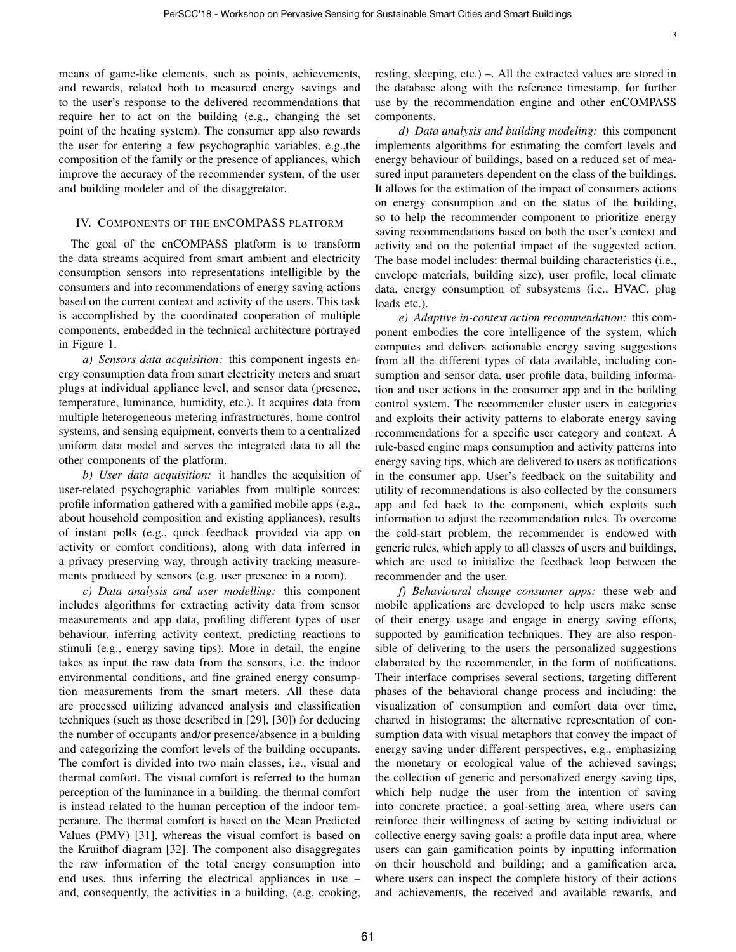means of game-like elements, such as points, achievements, and rewards, related both to measured energy savings and to the user's response to the delivered recommendations that require her to act on the building (e.g., changing the set point of the heating system). The consumer app also rewards the user for entering a few psychographic variables, e.g.,the composition of the family or the presence of appliances, which improve the accuracy of the recommender system, of the user and building modeler and of the disaggretator.

## IV. COMPONENTS OF THE ENCOMPASS PLATFORM

The goal of the enCOMPASS platform is to transform the data streams acquired from smart ambient and electricity consumption sensors into representations intelligible by the consumers and into recommendations of energy saving actions based on the current context and activity of the users. This task is accomplished by the coordinated cooperation of multiple components, embedded in the technical architecture portrayed in Figure 1.

*a) Sensors data acquisition:* this component ingests energy consumption data from smart electricity meters and smart plugs at individual appliance level, and sensor data (presence, temperature, luminance, humidity, etc.). It acquires data from multiple heterogeneous metering infrastructures, home control systems, and sensing equipment, converts them to a centralized uniform data model and serves the integrated data to all the other components of the platform.

*b) User data acquisition:* it handles the acquisition of user-related psychographic variables from multiple sources: profile information gathered with a gamified mobile apps (e.g., about household composition and existing appliances), results of instant polls (e.g., quick feedback provided via app on activity or comfort conditions), along with data inferred in a privacy preserving way, through activity tracking measurements produced by sensors (e.g. user presence in a room).

*c) Data analysis and user modelling:* this component includes algorithms for extracting activity data from sensor measurements and app data, profiling different types of user behaviour, inferring activity context, predicting reactions to stimuli (e.g., energy saving tips). More in detail, the engine takes as input the raw data from the sensors, i.e. the indoor environmental conditions, and fine grained energy consumption measurements from the smart meters. All these data are processed utilizing advanced analysis and classification techniques (such as those described in [29], [30]) for deducing the number of occupants and/or presence/absence in a building and categorizing the comfort levels of the building occupants. The comfort is divided into two main classes, i.e., visual and thermal comfort. The visual comfort is referred to the human perception of the luminance in a building. the thermal comfort is instead related to the human perception of the indoor temperature. The thermal comfort is based on the Mean Predicted Values (PMV) [31], whereas the visual comfort is based on the Kruithof diagram [32]. The component also disaggregates the raw information of the total energy consumption into end uses, thus inferring the electrical appliances in use – and, consequently, the activities in a building, (e.g. cooking,

resting, sleeping, etc.) –. All the extracted values are stored in the database along with the reference timestamp, for further use by the recommendation engine and other enCOMPASS components.

*d) Data analysis and building modeling:* this component implements algorithms for estimating the comfort levels and energy behaviour of buildings, based on a reduced set of measured input parameters dependent on the class of the buildings. It allows for the estimation of the impact of consumers actions on energy consumption and on the status of the building, so to help the recommender component to prioritize energy saving recommendations based on both the user's context and activity and on the potential impact of the suggested action. The base model includes: thermal building characteristics (i.e., envelope materials, building size), user profile, local climate data, energy consumption of subsystems (i.e., HVAC, plug loads etc.).

*e) Adaptive in-context action recommendation:* this component embodies the core intelligence of the system, which computes and delivers actionable energy saving suggestions from all the different types of data available, including consumption and sensor data, user profile data, building information and user actions in the consumer app and in the building control system. The recommender cluster users in categories and exploits their activity patterns to elaborate energy saving recommendations for a specific user category and context. A rule-based engine maps consumption and activity patterns into energy saving tips, which are delivered to users as notifications in the consumer app. User's feedback on the suitability and utility of recommendations is also collected by the consumers app and fed back to the component, which exploits such information to adjust the recommendation rules. To overcome the cold-start problem, the recommender is endowed with generic rules, which apply to all classes of users and buildings, which are used to initialize the feedback loop between the recommender and the user.

*f) Behavioural change consumer apps:* these web and mobile applications are developed to help users make sense of their energy usage and engage in energy saving efforts, supported by gamification techniques. They are also responsible of delivering to the users the personalized suggestions elaborated by the recommender, in the form of notifications. Their interface comprises several sections, targeting different phases of the behavioral change process and including: the visualization of consumption and comfort data over time, charted in histograms; the alternative representation of consumption data with visual metaphors that convey the impact of energy saving under different perspectives, e.g., emphasizing the monetary or ecological value of the achieved savings; the collection of generic and personalized energy saving tips, which help nudge the user from the intention of saving into concrete practice; a goal-setting area, where users can reinforce their willingness of acting by setting individual or collective energy saving goals; a profile data input area, where users can gain gamification points by inputting information on their household and building; and a gamification area, where users can inspect the complete history of their actions and achievements, the received and available rewards, and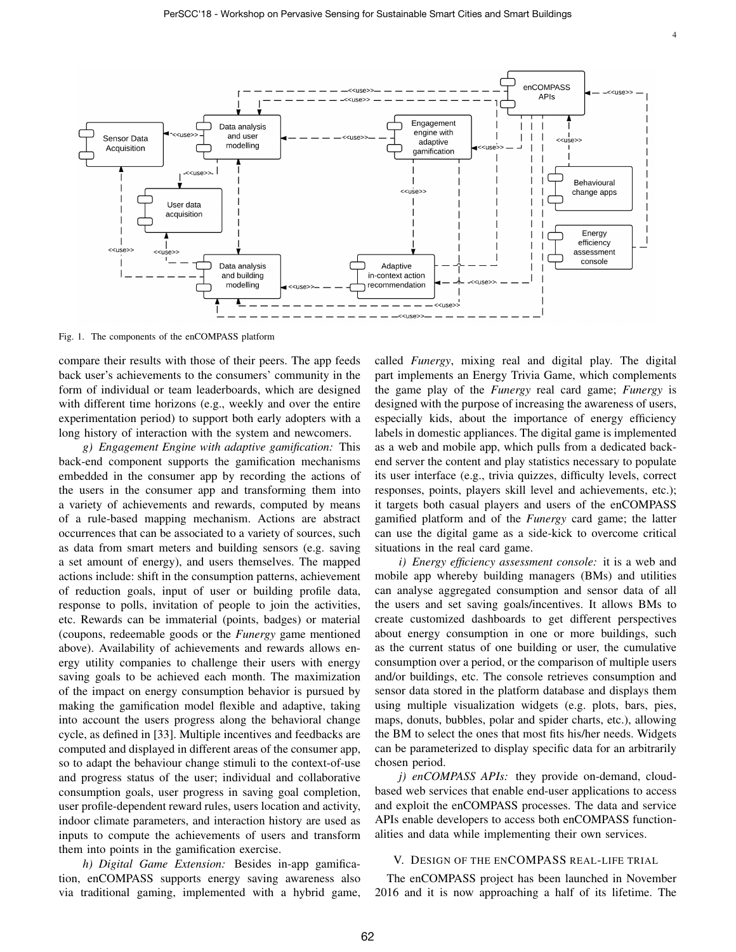

Fig. 1. The components of the enCOMPASS platform

compare their results with those of their peers. The app feeds back user's achievements to the consumers' community in the form of individual or team leaderboards, which are designed with different time horizons (e.g., weekly and over the entire experimentation period) to support both early adopters with a long history of interaction with the system and newcomers.

*g) Engagement Engine with adaptive gamification:* This back-end component supports the gamification mechanisms embedded in the consumer app by recording the actions of the users in the consumer app and transforming them into a variety of achievements and rewards, computed by means of a rule-based mapping mechanism. Actions are abstract occurrences that can be associated to a variety of sources, such as data from smart meters and building sensors (e.g. saving a set amount of energy), and users themselves. The mapped actions include: shift in the consumption patterns, achievement of reduction goals, input of user or building profile data, response to polls, invitation of people to join the activities, etc. Rewards can be immaterial (points, badges) or material (coupons, redeemable goods or the *Funergy* game mentioned above). Availability of achievements and rewards allows energy utility companies to challenge their users with energy saving goals to be achieved each month. The maximization of the impact on energy consumption behavior is pursued by making the gamification model flexible and adaptive, taking into account the users progress along the behavioral change cycle, as defined in [33]. Multiple incentives and feedbacks are computed and displayed in different areas of the consumer app, so to adapt the behaviour change stimuli to the context-of-use and progress status of the user; individual and collaborative consumption goals, user progress in saving goal completion, user profile-dependent reward rules, users location and activity, indoor climate parameters, and interaction history are used as inputs to compute the achievements of users and transform them into points in the gamification exercise.

*h) Digital Game Extension:* Besides in-app gamification, enCOMPASS supports energy saving awareness also via traditional gaming, implemented with a hybrid game, called *Funergy*, mixing real and digital play. The digital part implements an Energy Trivia Game, which complements the game play of the *Funergy* real card game; *Funergy* is designed with the purpose of increasing the awareness of users, especially kids, about the importance of energy efficiency labels in domestic appliances. The digital game is implemented as a web and mobile app, which pulls from a dedicated backend server the content and play statistics necessary to populate its user interface (e.g., trivia quizzes, difficulty levels, correct responses, points, players skill level and achievements, etc.); it targets both casual players and users of the enCOMPASS gamified platform and of the *Funergy* card game; the latter can use the digital game as a side-kick to overcome critical situations in the real card game.

*i) Energy efficiency assessment console:* it is a web and mobile app whereby building managers (BMs) and utilities can analyse aggregated consumption and sensor data of all the users and set saving goals/incentives. It allows BMs to create customized dashboards to get different perspectives about energy consumption in one or more buildings, such as the current status of one building or user, the cumulative consumption over a period, or the comparison of multiple users and/or buildings, etc. The console retrieves consumption and sensor data stored in the platform database and displays them using multiple visualization widgets (e.g. plots, bars, pies, maps, donuts, bubbles, polar and spider charts, etc.), allowing the BM to select the ones that most fits his/her needs. Widgets can be parameterized to display specific data for an arbitrarily chosen period.

*j) enCOMPASS APIs:* they provide on-demand, cloudbased web services that enable end-user applications to access and exploit the enCOMPASS processes. The data and service APIs enable developers to access both enCOMPASS functionalities and data while implementing their own services.

## V. DESIGN OF THE ENCOMPASS REAL-LIFE TRIAL

The enCOMPASS project has been launched in November 2016 and it is now approaching a half of its lifetime. The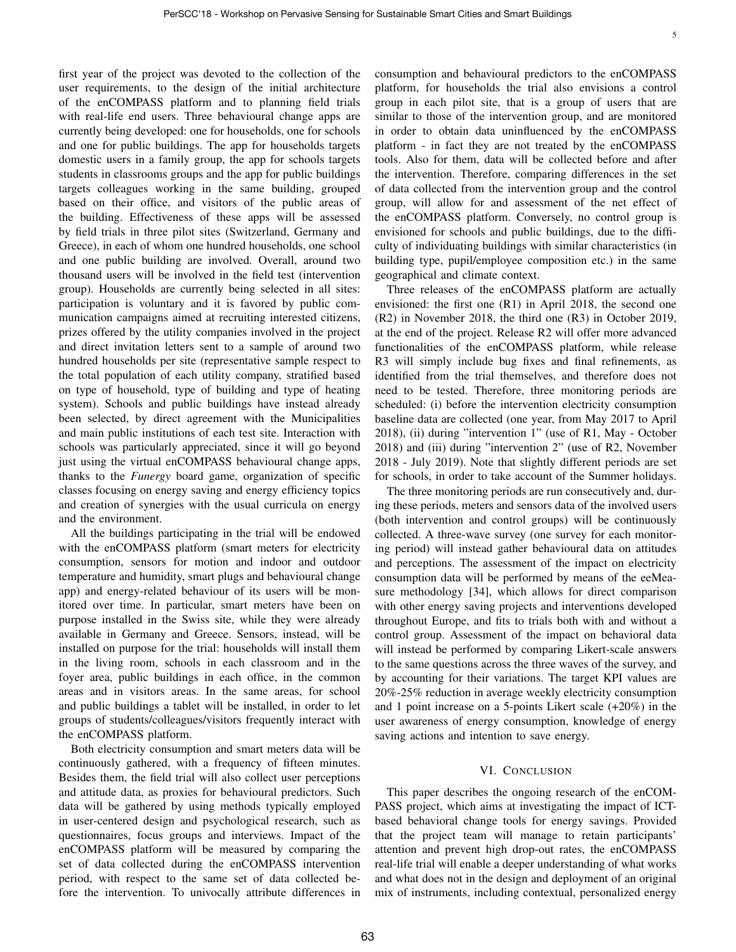first year of the project was devoted to the collection of the user requirements, to the design of the initial architecture of the enCOMPASS platform and to planning field trials with real-life end users. Three behavioural change apps are currently being developed: one for households, one for schools and one for public buildings. The app for households targets domestic users in a family group, the app for schools targets students in classrooms groups and the app for public buildings targets colleagues working in the same building, grouped based on their office, and visitors of the public areas of the building. Effectiveness of these apps will be assessed by field trials in three pilot sites (Switzerland, Germany and Greece), in each of whom one hundred households, one school and one public building are involved. Overall, around two thousand users will be involved in the field test (intervention group). Households are currently being selected in all sites: participation is voluntary and it is favored by public communication campaigns aimed at recruiting interested citizens, prizes offered by the utility companies involved in the project and direct invitation letters sent to a sample of around two hundred households per site (representative sample respect to the total population of each utility company, stratified based on type of household, type of building and type of heating system). Schools and public buildings have instead already been selected, by direct agreement with the Municipalities and main public institutions of each test site. Interaction with schools was particularly appreciated, since it will go beyond just using the virtual enCOMPASS behavioural change apps,

thanks to the *Funergy* board game, organization of specific classes focusing on energy saving and energy efficiency topics and creation of synergies with the usual curricula on energy and the environment.

All the buildings participating in the trial will be endowed with the enCOMPASS platform (smart meters for electricity consumption, sensors for motion and indoor and outdoor temperature and humidity, smart plugs and behavioural change app) and energy-related behaviour of its users will be monitored over time. In particular, smart meters have been on purpose installed in the Swiss site, while they were already available in Germany and Greece. Sensors, instead, will be installed on purpose for the trial: households will install them in the living room, schools in each classroom and in the foyer area, public buildings in each office, in the common areas and in visitors areas. In the same areas, for school and public buildings a tablet will be installed, in order to let groups of students/colleagues/visitors frequently interact with the enCOMPASS platform.

Both electricity consumption and smart meters data will be continuously gathered, with a frequency of fifteen minutes. Besides them, the field trial will also collect user perceptions and attitude data, as proxies for behavioural predictors. Such data will be gathered by using methods typically employed in user-centered design and psychological research, such as questionnaires, focus groups and interviews. Impact of the enCOMPASS platform will be measured by comparing the set of data collected during the enCOMPASS intervention period, with respect to the same set of data collected before the intervention. To univocally attribute differences in consumption and behavioural predictors to the enCOMPASS platform, for households the trial also envisions a control group in each pilot site, that is a group of users that are similar to those of the intervention group, and are monitored in order to obtain data uninfluenced by the enCOMPASS platform - in fact they are not treated by the enCOMPASS tools. Also for them, data will be collected before and after the intervention. Therefore, comparing differences in the set of data collected from the intervention group and the control group, will allow for and assessment of the net effect of the enCOMPASS platform. Conversely, no control group is envisioned for schools and public buildings, due to the difficulty of individuating buildings with similar characteristics (in building type, pupil/employee composition etc.) in the same geographical and climate context.

Three releases of the enCOMPASS platform are actually envisioned: the first one (R1) in April 2018, the second one (R2) in November 2018, the third one (R3) in October 2019, at the end of the project. Release R2 will offer more advanced functionalities of the enCOMPASS platform, while release R3 will simply include bug fixes and final refinements, as identified from the trial themselves, and therefore does not need to be tested. Therefore, three monitoring periods are scheduled: (i) before the intervention electricity consumption baseline data are collected (one year, from May 2017 to April 2018), (ii) during "intervention 1" (use of R1, May - October 2018) and (iii) during "intervention 2" (use of R2, November 2018 - July 2019). Note that slightly different periods are set for schools, in order to take account of the Summer holidays.

The three monitoring periods are run consecutively and, during these periods, meters and sensors data of the involved users (both intervention and control groups) will be continuously collected. A three-wave survey (one survey for each monitoring period) will instead gather behavioural data on attitudes and perceptions. The assessment of the impact on electricity consumption data will be performed by means of the eeMeasure methodology [34], which allows for direct comparison with other energy saving projects and interventions developed throughout Europe, and fits to trials both with and without a control group. Assessment of the impact on behavioral data will instead be performed by comparing Likert-scale answers to the same questions across the three waves of the survey, and by accounting for their variations. The target KPI values are 20%-25% reduction in average weekly electricity consumption and 1 point increase on a 5-points Likert scale (+20%) in the user awareness of energy consumption, knowledge of energy saving actions and intention to save energy.

#### VI. CONCLUSION

This paper describes the ongoing research of the enCOM-PASS project, which aims at investigating the impact of ICTbased behavioral change tools for energy savings. Provided that the project team will manage to retain participants' attention and prevent high drop-out rates, the enCOMPASS real-life trial will enable a deeper understanding of what works and what does not in the design and deployment of an original mix of instruments, including contextual, personalized energy